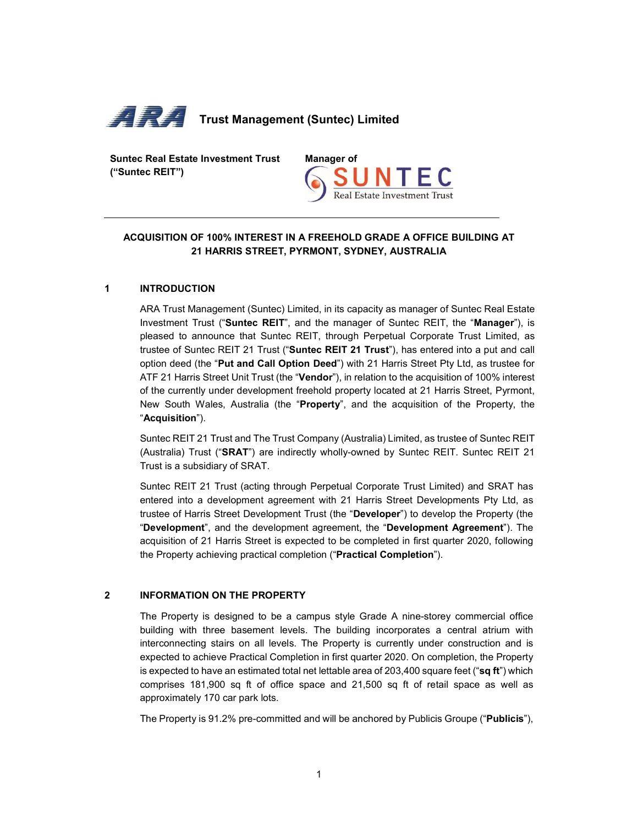

Suntec Real Estate Investment Trust ("Suntec REIT")



# ACQUISITION OF 100% INTEREST IN A FREEHOLD GRADE A OFFICE BUILDING AT 21 HARRIS STREET, PYRMONT, SYDNEY, AUSTRALIA

# 1 INTRODUCTION

ARA Trust Management (Suntec) Limited, in its capacity as manager of Suntec Real Estate Investment Trust ("Suntec REIT", and the manager of Suntec REIT, the "Manager"), is pleased to announce that Suntec REIT, through Perpetual Corporate Trust Limited, as trustee of Suntec REIT 21 Trust ("Suntec REIT 21 Trust"), has entered into a put and call option deed (the "Put and Call Option Deed") with 21 Harris Street Pty Ltd, as trustee for ATF 21 Harris Street Unit Trust (the "Vendor"), in relation to the acquisition of 100% interest of the currently under development freehold property located at 21 Harris Street, Pyrmont, New South Wales, Australia (the "Property", and the acquisition of the Property, the "Acquisition").

Suntec REIT 21 Trust and The Trust Company (Australia) Limited, as trustee of Suntec REIT (Australia) Trust ("SRAT") are indirectly wholly-owned by Suntec REIT. Suntec REIT 21 Trust is a subsidiary of SRAT.

Suntec REIT 21 Trust (acting through Perpetual Corporate Trust Limited) and SRAT has entered into a development agreement with 21 Harris Street Developments Pty Ltd, as trustee of Harris Street Development Trust (the "Developer") to develop the Property (the "Development", and the development agreement"). The acquisition of 21 Harris Street is expected to be completed in first quarter 2020, following the Property achieving practical completion ("Practical Completion").

# 2 INFORMATION ON THE PROPERTY

The Property is designed to be a campus style Grade A nine-storey commercial office building with three basement levels. The building incorporates a central atrium with interconnecting stairs on all levels. The Property is currently under construction and is expected to achieve Practical Completion in first quarter 2020. On completion, the Property is expected to have an estimated total net lettable area of 203,400 square feet ("sq ft") which comprises 181,900 sq ft of office space and 21,500 sq ft of retail space as well as approximately 170 car park lots.

The Property is 91.2% pre-committed and will be anchored by Publicis Groupe ("Publicis"),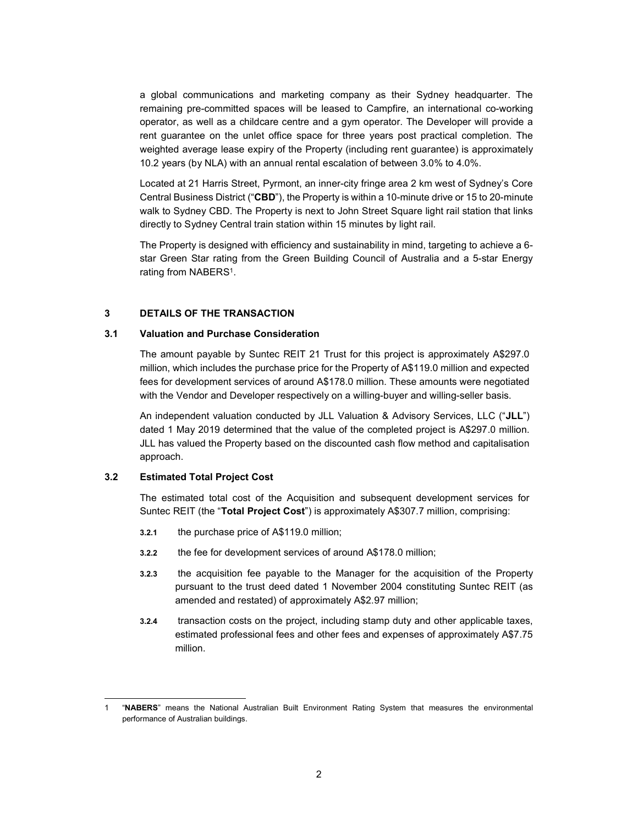a global communications and marketing company as their Sydney headquarter. The remaining pre-committed spaces will be leased to Campfire, an international co-working operator, as well as a childcare centre and a gym operator. The Developer will provide a rent guarantee on the unlet office space for three years post practical completion. The weighted average lease expiry of the Property (including rent guarantee) is approximately 10.2 years (by NLA) with an annual rental escalation of between 3.0% to 4.0%.

Located at 21 Harris Street, Pyrmont, an inner-city fringe area 2 km west of Sydney's Core Central Business District ("CBD"), the Property is within a 10-minute drive or 15 to 20-minute walk to Sydney CBD. The Property is next to John Street Square light rail station that links directly to Sydney Central train station within 15 minutes by light rail.

The Property is designed with efficiency and sustainability in mind, targeting to achieve a 6 star Green Star rating from the Green Building Council of Australia and a 5-star Energy rating from NABERS<sup>1</sup>.

### 3 DETAILS OF THE TRANSACTION

### 3.1 Valuation and Purchase Consideration

The amount payable by Suntec REIT 21 Trust for this project is approximately A\$297.0 million, which includes the purchase price for the Property of A\$119.0 million and expected fees for development services of around A\$178.0 million. These amounts were negotiated with the Vendor and Developer respectively on a willing-buyer and willing-seller basis.

An independent valuation conducted by JLL Valuation & Advisory Services, LLC ("JLL") dated 1 May 2019 determined that the value of the completed project is A\$297.0 million. JLL has valued the Property based on the discounted cash flow method and capitalisation approach.

### 3.2 Estimated Total Project Cost

-

The estimated total cost of the Acquisition and subsequent development services for Suntec REIT (the "Total Project Cost") is approximately A\$307.7 million, comprising:

- 3.2.1 the purchase price of A\$119.0 million;
- 3.2.2 the fee for development services of around A\$178.0 million;
- 3.2.3 the acquisition fee payable to the Manager for the acquisition of the Property pursuant to the trust deed dated 1 November 2004 constituting Suntec REIT (as amended and restated) of approximately A\$2.97 million;
- 3.2.4 transaction costs on the project, including stamp duty and other applicable taxes, estimated professional fees and other fees and expenses of approximately A\$7.75 million.

<sup>&</sup>quot;NABERS" means the National Australian Built Environment Rating System that measures the environmental performance of Australian buildings.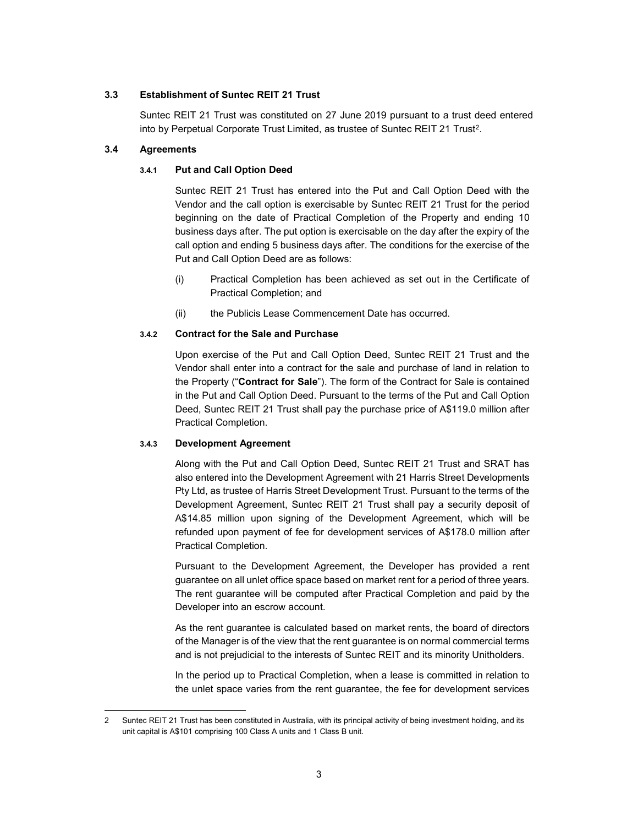# 3.3 Establishment of Suntec REIT 21 Trust

Suntec REIT 21 Trust was constituted on 27 June 2019 pursuant to a trust deed entered into by Perpetual Corporate Trust Limited, as trustee of Suntec REIT 21 Trust<sup>2</sup>.

# 3.4 Agreements

# 3.4.1 Put and Call Option Deed

Suntec REIT 21 Trust has entered into the Put and Call Option Deed with the Vendor and the call option is exercisable by Suntec REIT 21 Trust for the period beginning on the date of Practical Completion of the Property and ending 10 business days after. The put option is exercisable on the day after the expiry of the call option and ending 5 business days after. The conditions for the exercise of the Put and Call Option Deed are as follows:

- (i) Practical Completion has been achieved as set out in the Certificate of Practical Completion; and
- (ii) the Publicis Lease Commencement Date has occurred.

# 3.4.2 Contract for the Sale and Purchase

Upon exercise of the Put and Call Option Deed, Suntec REIT 21 Trust and the Vendor shall enter into a contract for the sale and purchase of land in relation to the Property ("Contract for Sale"). The form of the Contract for Sale is contained in the Put and Call Option Deed. Pursuant to the terms of the Put and Call Option Deed, Suntec REIT 21 Trust shall pay the purchase price of A\$119.0 million after Practical Completion.

# 3.4.3 Development Agreement

Along with the Put and Call Option Deed, Suntec REIT 21 Trust and SRAT has also entered into the Development Agreement with 21 Harris Street Developments Pty Ltd, as trustee of Harris Street Development Trust. Pursuant to the terms of the Development Agreement, Suntec REIT 21 Trust shall pay a security deposit of A\$14.85 million upon signing of the Development Agreement, which will be refunded upon payment of fee for development services of A\$178.0 million after Practical Completion.

Pursuant to the Development Agreement, the Developer has provided a rent guarantee on all unlet office space based on market rent for a period of three years. The rent guarantee will be computed after Practical Completion and paid by the Developer into an escrow account.

As the rent guarantee is calculated based on market rents, the board of directors of the Manager is of the view that the rent guarantee is on normal commercial terms and is not prejudicial to the interests of Suntec REIT and its minority Unitholders.

In the period up to Practical Completion, when a lease is committed in relation to the unlet space varies from the rent guarantee, the fee for development services

<sup>-</sup>2 Suntec REIT 21 Trust has been constituted in Australia, with its principal activity of being investment holding, and its unit capital is A\$101 comprising 100 Class A units and 1 Class B unit.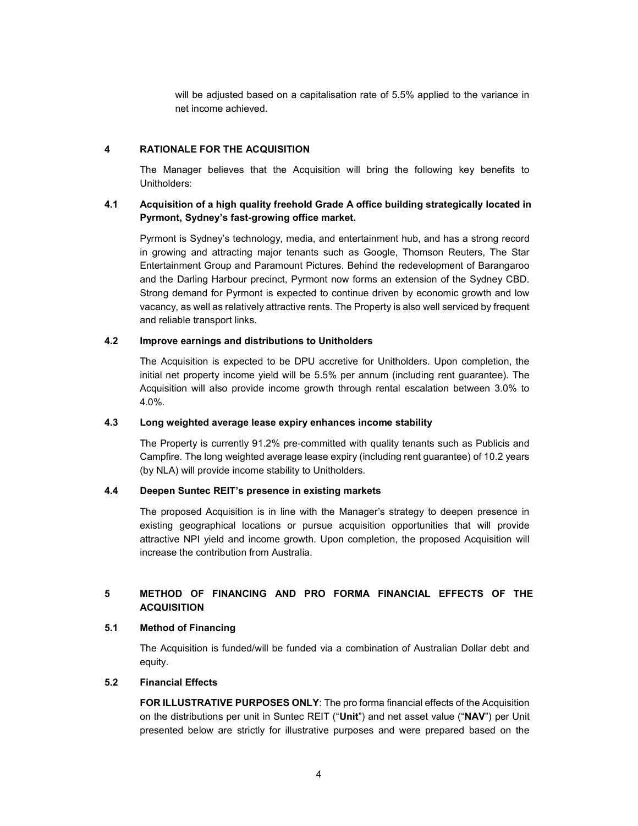will be adjusted based on a capitalisation rate of 5.5% applied to the variance in net income achieved.

### 4 RATIONALE FOR THE ACQUISITION

The Manager believes that the Acquisition will bring the following key benefits to Unitholders:

# 4.1 Acquisition of a high quality freehold Grade A office building strategically located in Pyrmont, Sydney's fast-growing office market.

Pyrmont is Sydney's technology, media, and entertainment hub, and has a strong record in growing and attracting major tenants such as Google, Thomson Reuters, The Star Entertainment Group and Paramount Pictures. Behind the redevelopment of Barangaroo and the Darling Harbour precinct, Pyrmont now forms an extension of the Sydney CBD. Strong demand for Pyrmont is expected to continue driven by economic growth and low vacancy, as well as relatively attractive rents. The Property is also well serviced by frequent and reliable transport links.

### 4.2 Improve earnings and distributions to Unitholders

The Acquisition is expected to be DPU accretive for Unitholders. Upon completion, the initial net property income yield will be 5.5% per annum (including rent guarantee). The Acquisition will also provide income growth through rental escalation between 3.0% to 4.0%.

#### 4.3 Long weighted average lease expiry enhances income stability

The Property is currently 91.2% pre-committed with quality tenants such as Publicis and Campfire. The long weighted average lease expiry (including rent guarantee) of 10.2 years (by NLA) will provide income stability to Unitholders.

#### 4.4 Deepen Suntec REIT's presence in existing markets

The proposed Acquisition is in line with the Manager's strategy to deepen presence in existing geographical locations or pursue acquisition opportunities that will provide attractive NPI yield and income growth. Upon completion, the proposed Acquisition will increase the contribution from Australia.

# 5 METHOD OF FINANCING AND PRO FORMA FINANCIAL EFFECTS OF THE **ACQUISITION**

#### 5.1 Method of Financing

The Acquisition is funded/will be funded via a combination of Australian Dollar debt and equity.

### 5.2 Financial Effects

FOR ILLUSTRATIVE PURPOSES ONLY: The pro forma financial effects of the Acquisition on the distributions per unit in Suntec REIT ("Unit") and net asset value ("NAV") per Unit presented below are strictly for illustrative purposes and were prepared based on the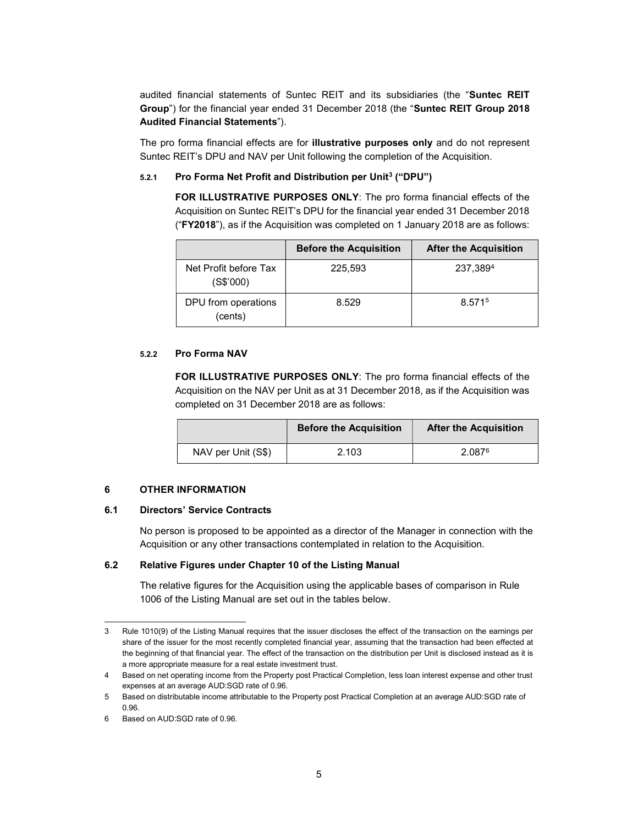audited financial statements of Suntec REIT and its subsidiaries (the "Suntec REIT Group") for the financial year ended 31 December 2018 (the "Suntec REIT Group 2018 Audited Financial Statements").

The pro forma financial effects are for **illustrative purposes only** and do not represent Suntec REIT's DPU and NAV per Unit following the completion of the Acquisition.

### 5.2.1 Pro Forma Net Profit and Distribution per Unit<sup>3</sup> ("DPU")

FOR ILLUSTRATIVE PURPOSES ONLY: The pro forma financial effects of the Acquisition on Suntec REIT's DPU for the financial year ended 31 December 2018 ("FY2018"), as if the Acquisition was completed on 1 January 2018 are as follows:

|                                    | <b>Before the Acquisition</b> | <b>After the Acquisition</b> |
|------------------------------------|-------------------------------|------------------------------|
| Net Profit before Tax<br>(S\$'000) | 225,593                       | 237,3894                     |
| DPU from operations<br>(cents)     | 8.529                         | 8.5715                       |

#### 5.2.2 Pro Forma NAV

FOR ILLUSTRATIVE PURPOSES ONLY: The pro forma financial effects of the Acquisition on the NAV per Unit as at 31 December 2018, as if the Acquisition was completed on 31 December 2018 are as follows:

|                    | <b>Before the Acquisition</b> | <b>After the Acquisition</b> |
|--------------------|-------------------------------|------------------------------|
| NAV per Unit (S\$) | 2.103                         | 2.087 <sup>6</sup>           |

# 6 OTHER INFORMATION

#### 6.1 Directors' Service Contracts

No person is proposed to be appointed as a director of the Manager in connection with the Acquisition or any other transactions contemplated in relation to the Acquisition.

#### 6.2 Relative Figures under Chapter 10 of the Listing Manual

The relative figures for the Acquisition using the applicable bases of comparison in Rule 1006 of the Listing Manual are set out in the tables below.

<sup>-</sup>3 Rule 1010(9) of the Listing Manual requires that the issuer discloses the effect of the transaction on the earnings per share of the issuer for the most recently completed financial year, assuming that the transaction had been effected at the beginning of that financial year. The effect of the transaction on the distribution per Unit is disclosed instead as it is a more appropriate measure for a real estate investment trust.

<sup>4</sup> Based on net operating income from the Property post Practical Completion, less loan interest expense and other trust expenses at an average AUD:SGD rate of 0.96.

<sup>5</sup> Based on distributable income attributable to the Property post Practical Completion at an average AUD:SGD rate of 0.96.

<sup>6</sup> Based on AUD:SGD rate of 0.96.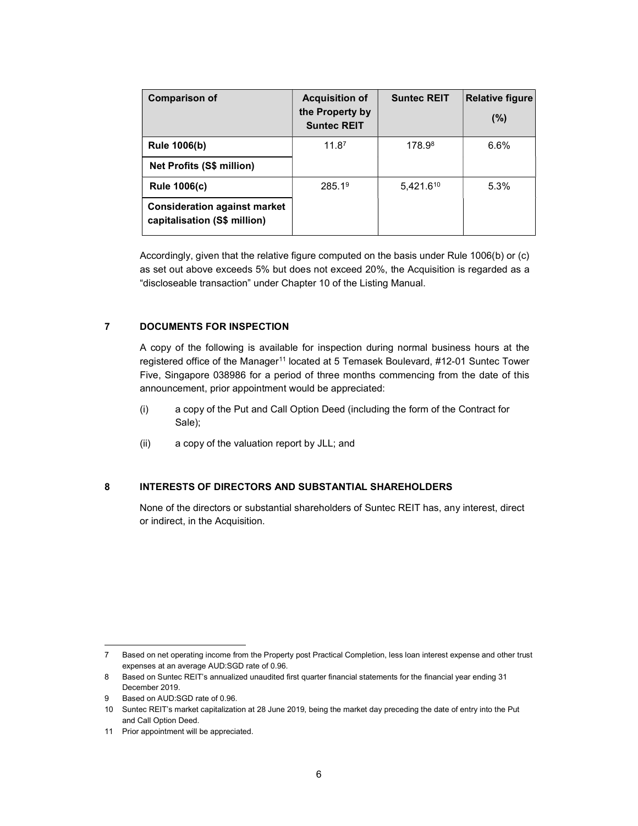| <b>Comparison of</b>                                                | <b>Acquisition of</b><br>the Property by<br><b>Suntec REIT</b> | <b>Suntec REIT</b> | <b>Relative figure</b><br>$(\%)$ |
|---------------------------------------------------------------------|----------------------------------------------------------------|--------------------|----------------------------------|
| <b>Rule 1006(b)</b>                                                 | 11.87                                                          | 178.98             | $6.6\%$                          |
| <b>Net Profits (S\$ million)</b>                                    |                                                                |                    |                                  |
| <b>Rule 1006(c)</b>                                                 | 285.1 <sup>9</sup>                                             | 5,421.610          | 5.3%                             |
| <b>Consideration against market</b><br>capitalisation (S\$ million) |                                                                |                    |                                  |

Accordingly, given that the relative figure computed on the basis under Rule 1006(b) or (c) as set out above exceeds 5% but does not exceed 20%, the Acquisition is regarded as a "discloseable transaction" under Chapter 10 of the Listing Manual.

# 7 DOCUMENTS FOR INSPECTION

A copy of the following is available for inspection during normal business hours at the registered office of the Manager<sup>11</sup> located at 5 Temasek Boulevard, #12-01 Suntec Tower Five, Singapore 038986 for a period of three months commencing from the date of this announcement, prior appointment would be appreciated:

- (i) a copy of the Put and Call Option Deed (including the form of the Contract for Sale);
- (ii) a copy of the valuation report by JLL; and

# 8 INTERESTS OF DIRECTORS AND SUBSTANTIAL SHAREHOLDERS

None of the directors or substantial shareholders of Suntec REIT has, any interest, direct or indirect, in the Acquisition.

-

<sup>7</sup> Based on net operating income from the Property post Practical Completion, less loan interest expense and other trust expenses at an average AUD:SGD rate of 0.96.

<sup>8</sup> Based on Suntec REIT's annualized unaudited first quarter financial statements for the financial year ending 31 December 2019.

Based on AUD:SGD rate of 0.96.

<sup>10</sup> Suntec REIT's market capitalization at 28 June 2019, being the market day preceding the date of entry into the Put and Call Option Deed.

<sup>11</sup> Prior appointment will be appreciated.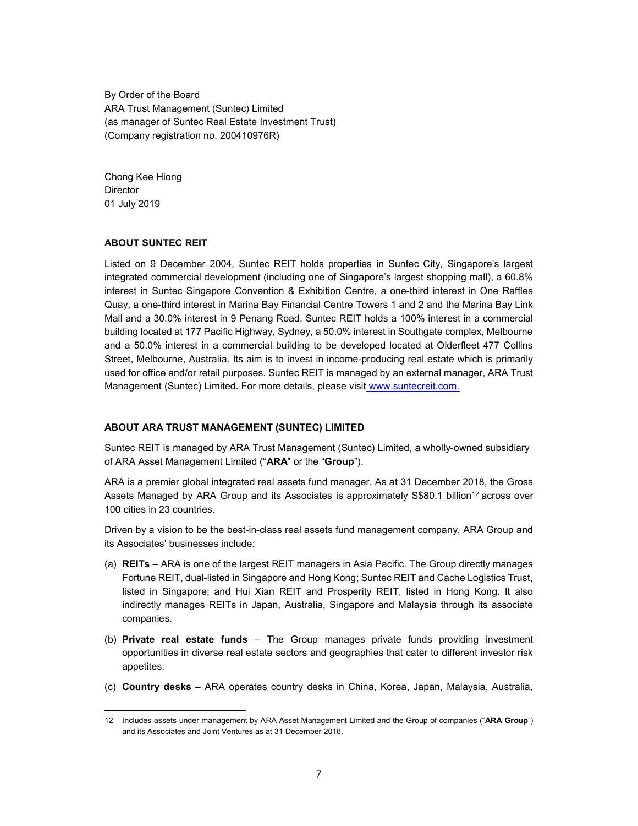By Order of the Board ARA Trust Management (Suntec) Limited (as manager of Suntec Real Estate Investment Trust) (Company registration no. 200410976R)

Chong Kee Hiong **Director** 01 July 2019

-

### ABOUT SUNTEC REIT

Listed on 9 December 2004, Suntec REIT holds properties in Suntec City, Singapore's largest integrated commercial development (including one of Singapore's largest shopping mall), a 60.8% interest in Suntec Singapore Convention & Exhibition Centre, a one-third interest in One Raffles Quay, a one-third interest in Marina Bay Financial Centre Towers 1 and 2 and the Marina Bay Link Mall and a 30.0% interest in 9 Penang Road. Suntec REIT holds a 100% interest in a commercial building located at 177 Pacific Highway, Sydney, a 50.0% interest in Southgate complex, Melbourne and a 50.0% interest in a commercial building to be developed located at Olderfleet 477 Collins Street, Melbourne, Australia. Its aim is to invest in income-producing real estate which is primarily used for office and/or retail purposes. Suntec REIT is managed by an external manager, ARA Trust Management (Suntec) Limited. For more details, please visit www.suntecreit.com.

#### ABOUT ARA TRUST MANAGEMENT (SUNTEC) LIMITED

Suntec REIT is managed by ARA Trust Management (Suntec) Limited, a wholly-owned subsidiary of ARA Asset Management Limited ("ARA" or the "Group").

ARA is a premier global integrated real assets fund manager. As at 31 December 2018, the Gross Assets Managed by ARA Group and its Associates is approximately S\$80.1 billion<sup>12</sup> across over 100 cities in 23 countries.

Driven by a vision to be the best-in-class real assets fund management company, ARA Group and its Associates' businesses include:

- (a) REITs ARA is one of the largest REIT managers in Asia Pacific. The Group directly manages Fortune REIT, dual-listed in Singapore and Hong Kong; Suntec REIT and Cache Logistics Trust, listed in Singapore; and Hui Xian REIT and Prosperity REIT, listed in Hong Kong. It also indirectly manages REITs in Japan, Australia, Singapore and Malaysia through its associate companies.
- (b) Private real estate funds The Group manages private funds providing investment opportunities in diverse real estate sectors and geographies that cater to different investor risk appetites.
- (c) Country desks ARA operates country desks in China, Korea, Japan, Malaysia, Australia,

<sup>12</sup> Includes assets under management by ARA Asset Management Limited and the Group of companies ("ARA Group") and its Associates and Joint Ventures as at 31 December 2018.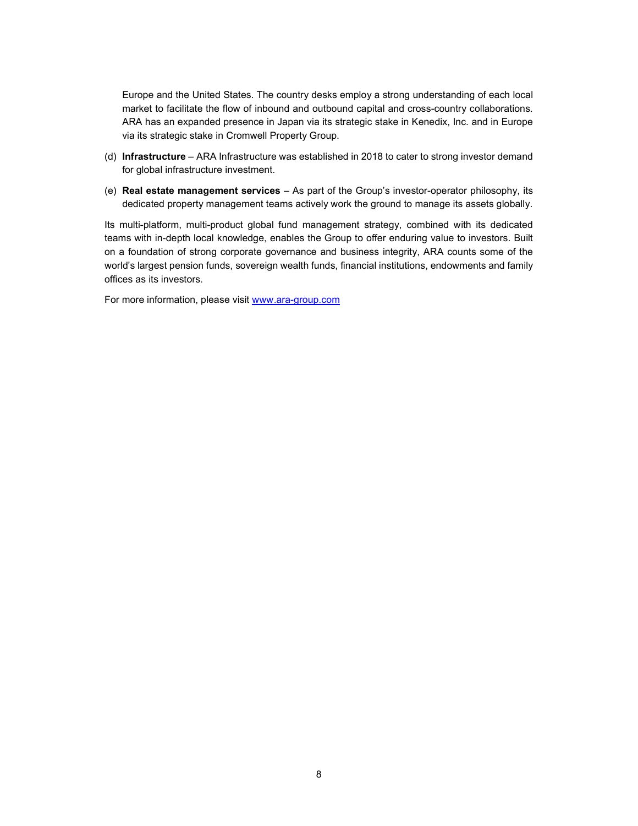Europe and the United States. The country desks employ a strong understanding of each local market to facilitate the flow of inbound and outbound capital and cross-country collaborations. ARA has an expanded presence in Japan via its strategic stake in Kenedix, Inc. and in Europe via its strategic stake in Cromwell Property Group.

- (d) Infrastructure ARA Infrastructure was established in 2018 to cater to strong investor demand for global infrastructure investment.
- (e) Real estate management services As part of the Group's investor-operator philosophy, its dedicated property management teams actively work the ground to manage its assets globally.

Its multi-platform, multi-product global fund management strategy, combined with its dedicated teams with in-depth local knowledge, enables the Group to offer enduring value to investors. Built on a foundation of strong corporate governance and business integrity, ARA counts some of the world's largest pension funds, sovereign wealth funds, financial institutions, endowments and family offices as its investors.

For more information, please visit www.ara-group.com